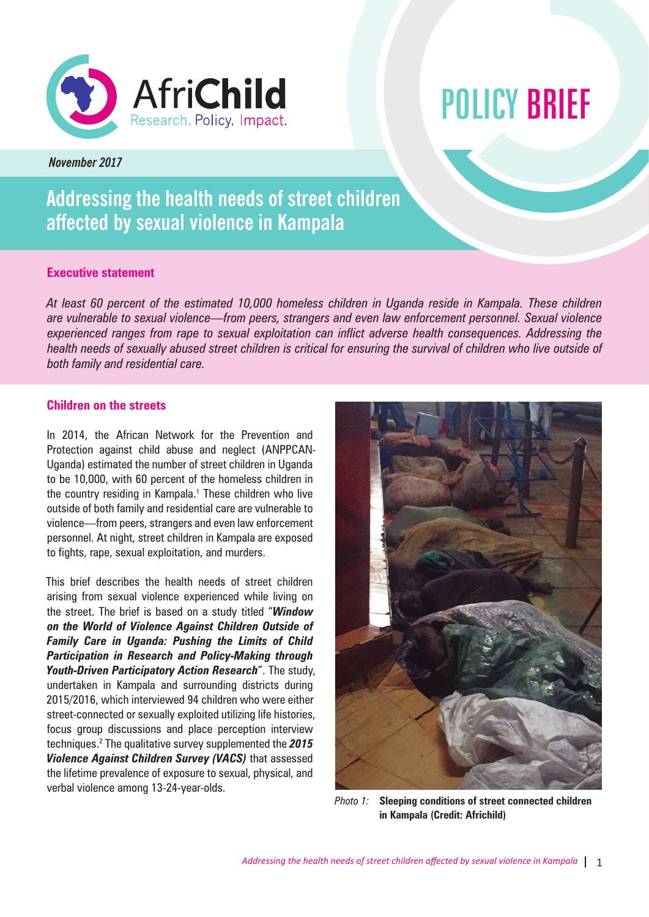

# POLICY BRIEF

*November 2017*

# **Addressing the health needs of street children affected by sexual violence in Kampala**

# **Executive statement**

*At least 60 percent of the estimated 10,000 homeless children in Uganda reside in Kampala. These children are vulnerable to sexual violence—from peers, strangers and even law enforcement personnel. Sexual violence experienced ranges from rape to sexual exploitation can inflict adverse health consequences. Addressing the health needs of sexually abused street children is critical for ensuring the survival of children who live outside of both family and residential care.*

# **Children on the streets**

In 2014, the African Network for the Prevention and Protection against child abuse and neglect (ANPPCAN-Uganda) estimated the number of street children in Uganda to be 10,000, with 60 percent of the homeless children in the country residing in Kampala.<sup>1</sup> These children who live outside of both family and residential care are vulnerable to violence—from peers, strangers and even law enforcement personnel. At night, street children in Kampala are exposed to fights, rape, sexual exploitation, and murders.

This brief describes the health needs of street children arising from sexual violence experienced while living on the street. The brief is based on a study titled "*Window on the World of Violence Against Children Outside of Family Care in Uganda: Pushing the Limits of Child Participation in Research and Policy-Making through Youth-Driven Participatory Action Research*". The study, undertaken in Kampala and surrounding districts during 2015/2016, which interviewed 94 children who were either street-connected or sexually exploited utilizing life histories, focus group discussions and place perception interview techniques.2 The qualitative survey supplemented the *2015 Violence Against Children Survey (VACS)* that assessed the lifetime prevalence of exposure to sexual, physical, and verbal violence among 13-24-year-olds.



*Photo 1:* **Sleeping conditions of street connected children in Kampala (Credit: Africhild)**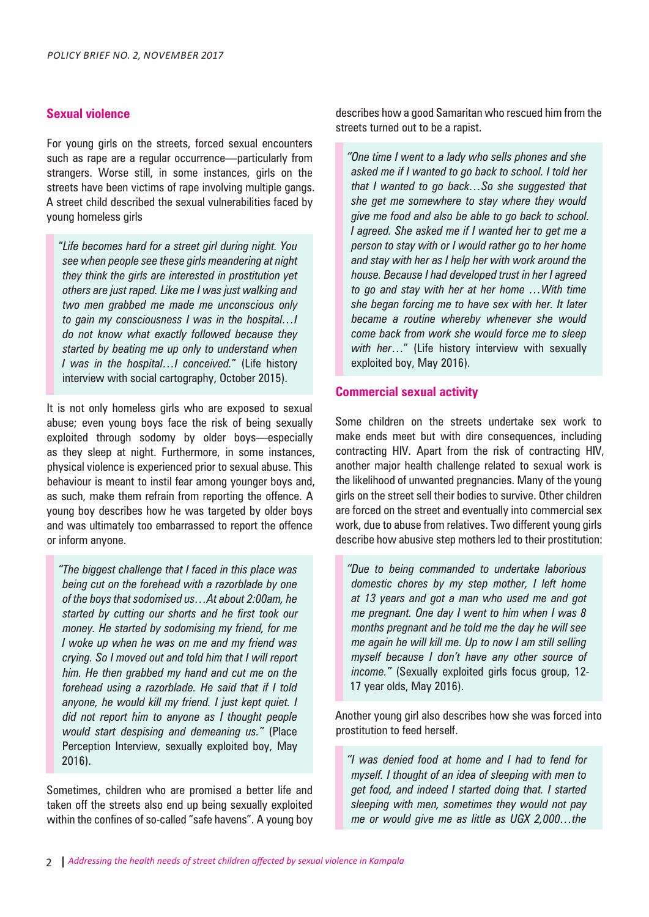### **Sexual violence**

For young girls on the streets, forced sexual encounters such as rape are a regular occurrence—particularly from strangers. Worse still, in some instances, girls on the streets have been victims of rape involving multiple gangs. A street child described the sexual vulnerabilities faced by young homeless girls

"*Life becomes hard for a street girl during night. You see when people see these girls meandering at night they think the girls are interested in prostitution yet others are just raped. Like me I was just walking and two men grabbed me made me unconscious only to gain my consciousness I was in the hospital…I do not know what exactly followed because they started by beating me up only to understand when I was in the hospital…I conceived.*" (Life history interview with social cartography, October 2015).

It is not only homeless girls who are exposed to sexual abuse; even young boys face the risk of being sexually exploited through sodomy by older boys—especially as they sleep at night. Furthermore, in some instances, physical violence is experienced prior to sexual abuse. This behaviour is meant to instil fear among younger boys and, as such, make them refrain from reporting the offence. A young boy describes how he was targeted by older boys and was ultimately too embarrassed to report the offence or inform anyone.

*"The biggest challenge that I faced in this place was being cut on the forehead with a razorblade by one of the boys that sodomised us…At about 2:00am, he started by cutting our shorts and he first took our money. He started by sodomising my friend, for me I woke up when he was on me and my friend was crying. So I moved out and told him that I will report him. He then grabbed my hand and cut me on the forehead using a razorblade. He said that if I told anyone, he would kill my friend. I just kept quiet. I did not report him to anyone as I thought people would start despising and demeaning us."* (Place Perception Interview, sexually exploited boy, May 2016).

Sometimes, children who are promised a better life and taken off the streets also end up being sexually exploited within the confines of so-called "safe havens". A young boy describes how a good Samaritan who rescued him from the streets turned out to be a rapist.

*"One time I went to a lady who sells phones and she asked me if I wanted to go back to school. I told her that I wanted to go back…So she suggested that she get me somewhere to stay where they would give me food and also be able to go back to school. I agreed. She asked me if I wanted her to get me a person to stay with or I would rather go to her home and stay with her as I help her with work around the house. Because I had developed trust in her I agreed to go and stay with her at her home …With time she began forcing me to have sex with her. It later became a routine whereby whenever she would come back from work she would force me to sleep with her*…" (Life history interview with sexually exploited boy, May 2016).

#### **Commercial sexual activity**

Some children on the streets undertake sex work to make ends meet but with dire consequences, including contracting HIV. Apart from the risk of contracting HIV, another major health challenge related to sexual work is the likelihood of unwanted pregnancies. Many of the young girls on the street sell their bodies to survive. Other children are forced on the street and eventually into commercial sex work, due to abuse from relatives. Two different young girls describe how abusive step mothers led to their prostitution:

*"Due to being commanded to undertake laborious domestic chores by my step mother, I left home at 13 years and got a man who used me and got me pregnant. One day I went to him when I was 8 months pregnant and he told me the day he will see me again he will kill me. Up to now I am still selling myself because I don't have any other source of income."* (Sexually exploited girls focus group, 12- 17 year olds, May 2016).

Another young girl also describes how she was forced into prostitution to feed herself.

*"I was denied food at home and I had to fend for myself. I thought of an idea of sleeping with men to get food, and indeed I started doing that. I started sleeping with men, sometimes they would not pay me or would give me as little as UGX 2,000…the*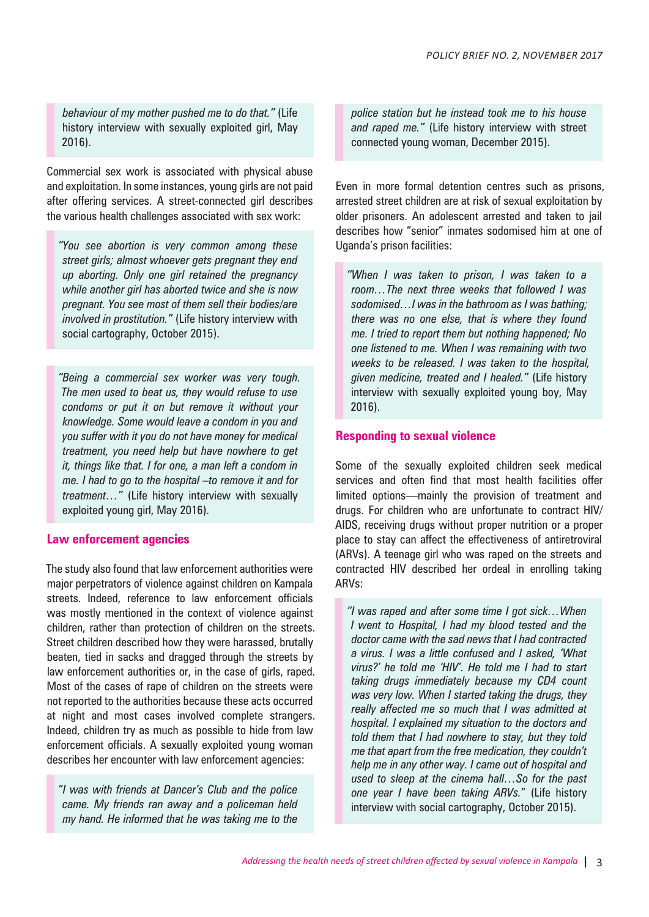*behaviour of my mother pushed me to do that."* (Life history interview with sexually exploited girl, May 2016).

Commercial sex work is associated with physical abuse and exploitation. In some instances, young girls are not paid after offering services. A street-connected girl describes the various health challenges associated with sex work:

*"You see abortion is very common among these street girls; almost whoever gets pregnant they end up aborting. Only one girl retained the pregnancy while another girl has aborted twice and she is now pregnant. You see most of them sell their bodies/are involved in prostitution."* (Life history interview with social cartography, October 2015).

*"Being a commercial sex worker was very tough. The men used to beat us, they would refuse to use condoms or put it on but remove it without your knowledge. Some would leave a condom in you and you suffer with it you do not have money for medical treatment, you need help but have nowhere to get it, things like that. I for one, a man left a condom in me. I had to go to the hospital –to remove it and for treatment…"* (Life history interview with sexually exploited young girl, May 2016).

#### **Law enforcement agencies**

The study also found that law enforcement authorities were major perpetrators of violence against children on Kampala streets. Indeed, reference to law enforcement officials was mostly mentioned in the context of violence against children, rather than protection of children on the streets. Street children described how they were harassed, brutally beaten, tied in sacks and dragged through the streets by law enforcement authorities or, in the case of girls, raped. Most of the cases of rape of children on the streets were not reported to the authorities because these acts occurred at night and most cases involved complete strangers. Indeed, children try as much as possible to hide from law enforcement officials. A sexually exploited young woman describes her encounter with law enforcement agencies:

"*I was with friends at Dancer's Club and the police came. My friends ran away and a policeman held my hand. He informed that he was taking me to the* 

*police station but he instead took me to his house and raped me."* (Life history interview with street connected young woman, December 2015).

Even in more formal detention centres such as prisons, arrested street children are at risk of sexual exploitation by older prisoners. An adolescent arrested and taken to jail describes how "senior" inmates sodomised him at one of Uganda's prison facilities:

*"When I was taken to prison, I was taken to a room…The next three weeks that followed I was sodomised…I was in the bathroom as I was bathing; there was no one else, that is where they found me. I tried to report them but nothing happened; No one listened to me. When I was remaining with two weeks to be released. I was taken to the hospital, given medicine, treated and I healed."* (Life history interview with sexually exploited young boy, May 2016).

#### **Responding to sexual violence**

Some of the sexually exploited children seek medical services and often find that most health facilities offer limited options—mainly the provision of treatment and drugs. For children who are unfortunate to contract HIV/ AIDS, receiving drugs without proper nutrition or a proper place to stay can affect the effectiveness of antiretroviral (ARVs). A teenage girl who was raped on the streets and contracted HIV described her ordeal in enrolling taking ARVs:

*"I was raped and after some time I got sick…When I went to Hospital, I had my blood tested and the doctor came with the sad news that I had contracted a virus. I was a little confused and I asked, 'What virus?' he told me 'HIV'. He told me I had to start taking drugs immediately because my CD4 count was very low. When I started taking the drugs, they really affected me so much that I was admitted at hospital. I explained my situation to the doctors and told them that I had nowhere to stay, but they told me that apart from the free medication, they couldn't help me in any other way. I came out of hospital and used to sleep at the cinema hall…So for the past one year I have been taking ARVs.*" (Life history interview with social cartography, October 2015).